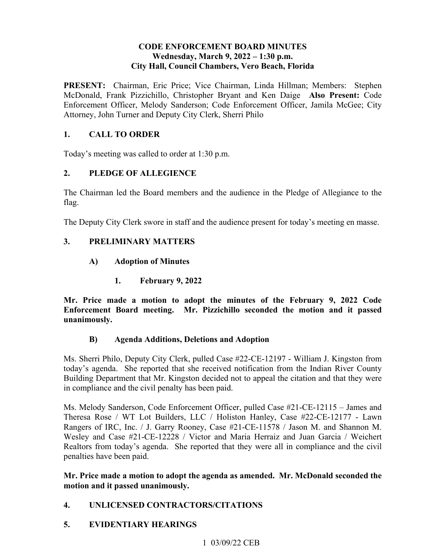#### **CODE ENFORCEMENT BOARD MINUTES**  Wednesday, March 9, 2022 – 1:30 p.m. **City Hall, Council Chambers, Vero Beach, Florida**

PRESENT: Chairman, Eric Price; Vice Chairman, Linda Hillman; Members: Stephen McDonald, Frank Pizzichillo, Christopher Bryant and Ken Daige **Also Present:** Code Enforcement Officer, Melody Sanderson; Code Enforcement Officer, Jamila McGee; City Attorney, John Turner and Deputy City Clerk, Sherri Philo

## **1. CALL TO ORDER**

Today's meeting was called to order at 1:30 p.m.

## **2. PLEDGE OF ALLEGIENCE**

The Chairman led the Board members and the audience in the Pledge of Allegiance to the flag.

The Deputy City Clerk swore in staff and the audience present for today's meeting en masse.

#### **3. PRELIMINARY MATTERS**

- **A) Adoption of Minutes** 
	- **1. February 9, 2022**

**Mr. Price made a motion to adopt the minutes of the February 9, 2022 Code Enforcement Board meeting. Mr. Pizzichillo seconded the motion and it passed unanimously.** 

#### **B) Agenda Additions, Deletions and Adoption**

 Building Department that Mr. Kingston decided not to appeal the citation and that they were Ms. Sherri Philo, Deputy City Clerk, pulled Case #22-CE-12197 - William J. Kingston from today's agenda. She reported that she received notification from the Indian River County in compliance and the civil penalty has been paid.

 Wesley and Case #21-CE-12228 / Victor and Maria Herraiz and Juan Garcia / Weichert Ms. Melody Sanderson, Code Enforcement Officer, pulled Case #21-CE-12115 – James and Theresa Rose / WT Lot Builders, LLC / Holiston Hanley, Case #22-CE-12177 - Lawn Rangers of IRC, Inc. / J. Garry Rooney, Case #21-CE-11578 / Jason M. and Shannon M. Realtors from today's agenda. She reported that they were all in compliance and the civil penalties have been paid.

#### **Mr. Price made a motion to adopt the agenda as amended. Mr. McDonald seconded the motion and it passed unanimously.**

#### **4. UNLICENSED CONTRACTORS/CITATIONS**

#### **5. EVIDENTIARY HEARINGS**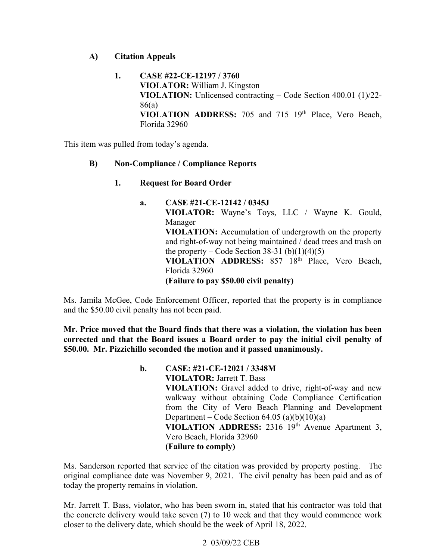#### **A) Citation Appeals**

**1. CASE #22-CE-12197 / 3760 VIOLATOR:** William J. Kingston **VIOLATION:** Unlicensed contracting – Code Section 400.01 (1)/22- 86(a) VIOLATION ADDRESS: 705 and 715 19<sup>th</sup> Place, Vero Beach, Florida 32960

This item was pulled from today's agenda.

#### **B) Non-Compliance / Compliance Reports**

- **Request for Board Order**
- **VIOLATION ADDRESS:** 857 18th Place, Vero Beach, Florida 32960 **1. Request for Board Order a. CASE #21-CE-12142 / 0345J VIOLATOR:** Wayne's Toys, LLC / Wayne K. Gould, Manager **VIOLATION:** Accumulation of undergrowth on the property and right-of-way not being maintained / dead trees and trash on the property – Code Section 38-31 (b) $(1)(4)(5)$ **(Failure to pay \$50.00 civil penalty)**

 and the \$50.00 civil penalty has not been paid. Ms. Jamila McGee, Code Enforcement Officer, reported that the property is in compliance

**Mr. Price moved that the Board finds that there was a violation, the violation has been corrected and that the Board issues a Board order to pay the initial civil penalty of \$50.00. Mr. Pizzichillo seconded the motion and it passed unanimously.** 

> **b**. VIOLATION ADDRESS: 2316 19<sup>th</sup> Avenue Apartment 3,  **(Failure to comply) b. CASE: #21-CE-12021 / 3348M VIOLATOR:** Jarrett T. Bass **VIOLATION:** Gravel added to drive, right-of-way and new walkway without obtaining Code Compliance Certification from the City of Vero Beach Planning and Development Department – Code Section  $64.05$  (a)(b)(10)(a) Vero Beach, Florida 32960

Ms. Sanderson reported that service of the citation was provided by property posting. The original compliance date was November 9, 2021. The civil penalty has been paid and as of today the property remains in violation.

 the concrete delivery would take seven (7) to 10 week and that they would commence work closer to the delivery date, which should be the week of April 18, 2022. Mr. Jarrett T. Bass, violator, who has been sworn in, stated that his contractor was told that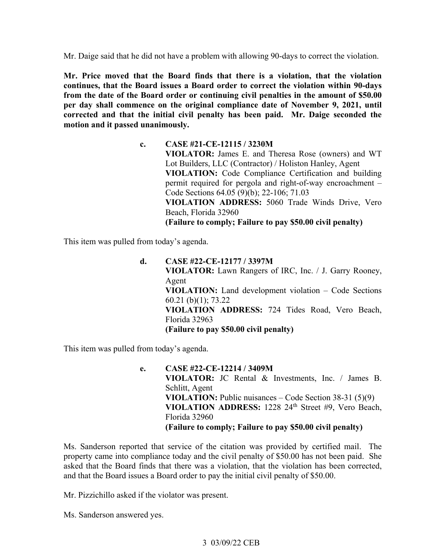Mr. Daige said that he did not have a problem with allowing 90-days to correct the violation.

 **Mr. Price moved that the Board finds that there is a violation, that the violation continues, that the Board issues a Board order to correct the violation within 90-days from the date of the Board order or continuing civil penalties in the amount of \$50.00 per day shall commence on the original compliance date of November 9, 2021, until corrected and that the initial civil penalty has been paid. Mr. Daige seconded the motion and it passed unanimously.** 

> Lot Builders, LLC (Contractor) / Holiston Hanley, Agent  **(Failure to comply; Failure to pay \$50.00 civil penalty) c. CASE #21-CE-12115 / 3230M VIOLATOR:** James E. and Theresa Rose (owners) and WT **VIOLATION:** Code Compliance Certification and building permit required for pergola and right-of-way encroachment – Code Sections 64.05 (9)(b); 22-106; 71.03 **VIOLATION ADDRESS:** 5060 Trade Winds Drive, Vero Beach, Florida 32960

This item was pulled from today's agenda.

 **VIOLATOR:** Lawn Rangers of IRC, Inc. / J. Garry Rooney, **d. CASE #22-CE-12177 / 3397M**  Agent **VIOLATION:** Land development violation – Code Sections 60.21 (b)(1); 73.22 **VIOLATION ADDRESS:** 724 Tides Road, Vero Beach, Florida 32963 **(Failure to pay \$50.00 civil penalty)** 

This item was pulled from today's agenda.

 **VIOLATOR:** JC Rental & Investments, Inc. / James B. **VIOLATION ADDRESS:** 1228 24th Street #9, Vero Beach,  **(Failure to comply; Failure to pay \$50.00 civil penalty) e. CASE #22-CE-12214 / 3409M**  Schlitt, Agent **VIOLATION:** Public nuisances – Code Section 38-31 (5)(9) Florida 32960

 and that the Board issues a Board order to pay the initial civil penalty of \$50.00. Ms. Sanderson reported that service of the citation was provided by certified mail. The property came into compliance today and the civil penalty of \$50.00 has not been paid. She asked that the Board finds that there was a violation, that the violation has been corrected,

Mr. Pizzichillo asked if the violator was present.

Ms. Sanderson answered yes.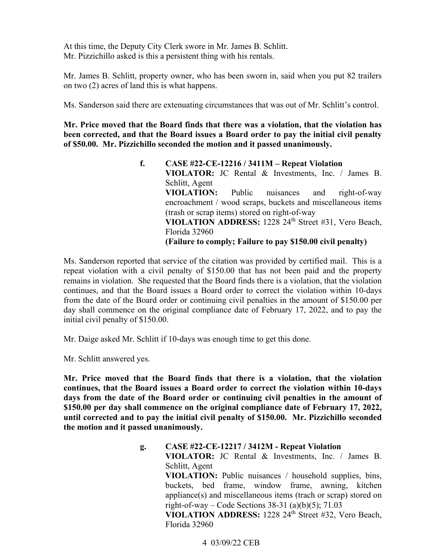At this time, the Deputy City Clerk swore in Mr. James B. Schlitt. Mr. Pizzichillo asked is this a persistent thing with his rentals.

 Mr. James B. Schlitt, property owner, who has been sworn in, said when you put 82 trailers on two (2) acres of land this is what happens.

Ms. Sanderson said there are extenuating circumstances that was out of Mr. Schlitt's control.

**Mr. Price moved that the Board finds that there was a violation, that the violation has been corrected, and that the Board issues a Board order to pay the initial civil penalty of \$50.00. Mr. Pizzichillo seconded the motion and it passed unanimously.** 

> VIOLATION ADDRESS: 1228 24<sup>th</sup> Street #31, Vero Beach,  **(Failure to comply; Failure to pay \$150.00 civil penalty) f. CASE #22-CE-12216 / 3411M – Repeat Violation VIOLATOR:** JC Rental & Investments, Inc. / James B. Schlitt, Agent **VIOLATION:** Public nuisances and right-of-way encroachment / wood scraps, buckets and miscellaneous items (trash or scrap items) stored on right-of-way Florida 32960

 continues, and that the Board issues a Board order to correct the violation within 10-days Ms. Sanderson reported that service of the citation was provided by certified mail. This is a repeat violation with a civil penalty of \$150.00 that has not been paid and the property remains in violation. She requested that the Board finds there is a violation, that the violation from the date of the Board order or continuing civil penalties in the amount of \$150.00 per day shall commence on the original compliance date of February 17, 2022, and to pay the initial civil penalty of \$150.00.

Mr. Daige asked Mr. Schlitt if 10-days was enough time to get this done.

Mr. Schlitt answered yes.

**Mr. Price moved that the Board finds that there is a violation, that the violation continues, that the Board issues a Board order to correct the violation within 10-days days from the date of the Board order or continuing civil penalties in the amount of \$150.00 per day shall commence on the original compliance date of February 17, 2022, until corrected and to pay the initial civil penalty of \$150.00. Mr. Pizzichillo seconded the motion and it passed unanimously.** 

> **g. CASE #22-CE-12217 / 3412M - Repeat Violation**  appliance(s) and miscellaneous items (trach or scrap) stored on VIOLATION ADDRESS: 1228 24<sup>th</sup> Street #32, Vero Beach, **VIOLATOR:** JC Rental & Investments, Inc. / James B. Schlitt, Agent **VIOLATION:** Public nuisances / household supplies, bins, buckets, bed frame, window frame, awning, kitchen right-of-way – Code Sections  $38-31$  (a)(b)(5);  $71.03$ Florida 32960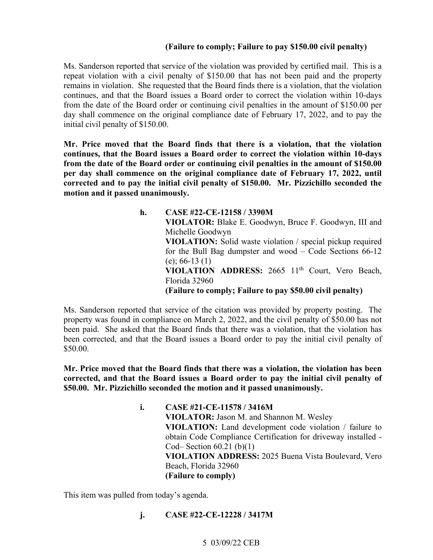#### **(Failure to comply; Failure to pay \$150.00 civil penalty)**

 remains in violation. She requested that the Board finds there is a violation, that the violation continues, and that the Board issues a Board order to correct the violation within 10-days Ms. Sanderson reported that service of the violation was provided by certified mail. This is a repeat violation with a civil penalty of \$150.00 that has not been paid and the property from the date of the Board order or continuing civil penalties in the amount of \$150.00 per day shall commence on the original compliance date of February 17, 2022, and to pay the initial civil penalty of \$150.00.

 **continues, that the Board issues a Board order to correct the violation within 10-days Mr. Price moved that the Board finds that there is a violation, that the violation from the date of the Board order or continuing civil penalties in the amount of \$150.00 per day shall commence on the original compliance date of February 17, 2022, until corrected and to pay the initial civil penalty of \$150.00. Mr. Pizzichillo seconded the motion and it passed unanimously.** 

> VIOLATION ADDRESS: 2665 11<sup>th</sup> Court, Vero Beach,  **(Failure to comply; Failure to pay \$50.00 civil penalty) h. CASE #22-CE-12158 / 3390M VIOLATOR:** Blake E. Goodwyn, Bruce F. Goodwyn, III and Michelle Goodwyn **VIOLATION:** Solid waste violation / special pickup required for the Bull Bag dumpster and wood – Code Sections 66-12 (e); 66-13 (1) Florida 32960

 been paid. She asked that the Board finds that there was a violation, that the violation has Ms. Sanderson reported that service of the citation was provided by property posting. The property was found in compliance on March 2, 2022, and the civil penalty of \$50.00 has not been corrected, and that the Board issues a Board order to pay the initial civil penalty of \$50.00.

**Mr. Price moved that the Board finds that there was a violation, the violation has been corrected, and that the Board issues a Board order to pay the initial civil penalty of \$50.00. Mr. Pizzichillo seconded the motion and it passed unanimously.** 

> **i. CASE #21-CE-11578 / 3416M VIOLATOR:** Jason M. and Shannon M. Wesley **VIOLATION:** Land development code violation / failure to obtain Code Compliance Certification for driveway installed - Cod– Section 60.21 (b)(1) **VIOLATION ADDRESS:** 2025 Buena Vista Boulevard, Vero Beach, Florida 32960 **(Failure to comply)**

This item was pulled from today's agenda.

**j. CASE #22-CE-12228 / 3417M**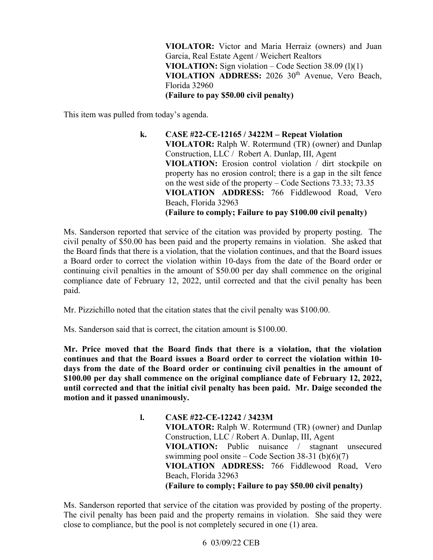VIOLATION ADDRESS: 2026 30<sup>th</sup> Avenue, Vero Beach, **VIOLATOR:** Victor and Maria Herraiz (owners) and Juan Garcia, Real Estate Agent / Weichert Realtors **VIOLATION:** Sign violation – Code Section 38.09 (l)(1) Florida 32960 **(Failure to pay \$50.00 civil penalty)** 

This item was pulled from today's agenda.

 Construction, LLC / Robert A. Dunlap, III, Agent **k. CASE #22-CE-12165 / 3422M – Repeat Violation VIOLATOR:** Ralph W. Rotermund (TR) (owner) and Dunlap **VIOLATION:** Erosion control violation / dirt stockpile on property has no erosion control; there is a gap in the silt fence on the west side of the property – Code Sections 73.33; 73.35 **VIOLATION ADDRESS:** 766 Fiddlewood Road, Vero Beach, Florida 32963 **(Failure to comply; Failure to pay \$100.00 civil penalty)** 

Ms. Sanderson reported that service of the citation was provided by property posting. The civil penalty of \$50.00 has been paid and the property remains in violation. She asked that the Board finds that there is a violation, that the violation continues, and that the Board issues a Board order to correct the violation within 10-days from the date of the Board order or continuing civil penalties in the amount of \$50.00 per day shall commence on the original compliance date of February 12, 2022, until corrected and that the civil penalty has been paid.

Mr. Pizzichillo noted that the citation states that the civil penalty was \$100.00.

Ms. Sanderson said that is correct, the citation amount is \$100.00.

 **until corrected and that the initial civil penalty has been paid. Mr. Daige seconded the Mr. Price moved that the Board finds that there is a violation, that the violation continues and that the Board issues a Board order to correct the violation within 10 days from the date of the Board order or continuing civil penalties in the amount of \$100.00 per day shall commence on the original compliance date of February 12, 2022, motion and it passed unanimously.** 

> Construction, LLC / Robert A. Dunlap, III, Agent swimming pool onsite – Code Section 38-31 (b)(6)(7)  **(Failure to comply; Failure to pay \$50.00 civil penalty) l. CASE #22-CE-12242 / 3423M VIOLATOR:** Ralph W. Rotermund (TR) (owner) and Dunlap **VIOLATION:** Public nuisance / stagnant unsecured **VIOLATION ADDRESS:** 766 Fiddlewood Road, Vero Beach, Florida 32963

Ms. Sanderson reported that service of the citation was provided by posting of the property. close to compliance, but the pool is not completely secured in one (1) area. The civil penalty has been paid and the property remains in violation. She said they were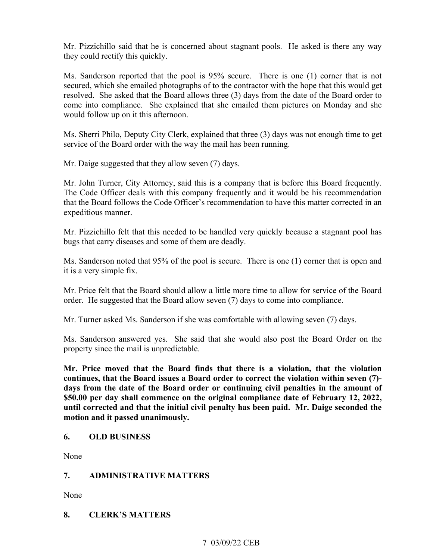Mr. Pizzichillo said that he is concerned about stagnant pools. He asked is there any way they could rectify this quickly.

 resolved. She asked that the Board allows three (3) days from the date of the Board order to Ms. Sanderson reported that the pool is 95% secure. There is one (1) corner that is not secured, which she emailed photographs of to the contractor with the hope that this would get come into compliance. She explained that she emailed them pictures on Monday and she would follow up on it this afternoon.

Ms. Sherri Philo, Deputy City Clerk, explained that three (3) days was not enough time to get service of the Board order with the way the mail has been running.

Mr. Daige suggested that they allow seven (7) days.

Mr. John Turner, City Attorney, said this is a company that is before this Board frequently. The Code Officer deals with this company frequently and it would be his recommendation that the Board follows the Code Officer's recommendation to have this matter corrected in an expeditious manner.

Mr. Pizzichillo felt that this needed to be handled very quickly because a stagnant pool has bugs that carry diseases and some of them are deadly.

 it is a very simple fix. Ms. Sanderson noted that 95% of the pool is secure. There is one (1) corner that is open and

Mr. Price felt that the Board should allow a little more time to allow for service of the Board order. He suggested that the Board allow seven (7) days to come into compliance.

Mr. Turner asked Ms. Sanderson if she was comfortable with allowing seven (7) days.

Ms. Sanderson answered yes. She said that she would also post the Board Order on the property since the mail is unpredictable.

 **until corrected and that the initial civil penalty has been paid. Mr. Daige seconded the Mr. Price moved that the Board finds that there is a violation, that the violation continues, that the Board issues a Board order to correct the violation within seven (7) days from the date of the Board order or continuing civil penalties in the amount of \$50.00 per day shall commence on the original compliance date of February 12, 2022, motion and it passed unanimously.** 

#### **6. OLD BUSINESS**

None

#### **7. ADMINISTRATIVE MATTERS**

None

#### **8. CLERK'S MATTERS**